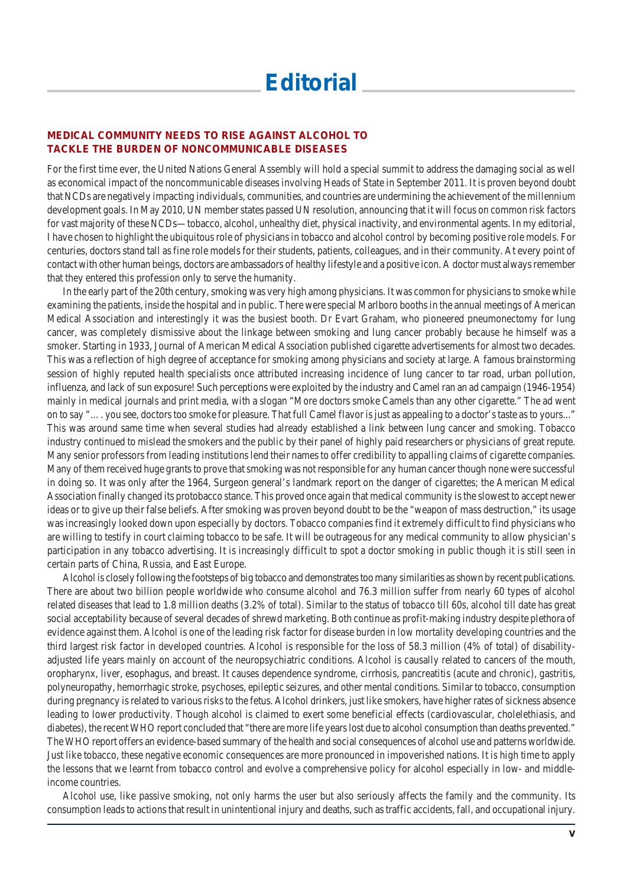## **MEDICAL COMMUNITY NEEDS TO RISE AGAINST ALCOHOL TO TACKLE THE BURDEN OF NONCOMMUNICABLE DISEASES**

For the first time ever, the United Nations General Assembly will hold a special summit to address the damaging social as well as economical impact of the noncommunicable diseases involving Heads of State in September 2011. It is proven beyond doubt that NCDs are negatively impacting individuals, communities, and countries are undermining the achievement of the millennium development goals. In May 2010, UN member states passed UN resolution, announcing that it will focus on common risk factors for vast majority of these NCDs—tobacco, alcohol, unhealthy diet, physical inactivity, and environmental agents. In my editorial, I have chosen to highlight the ubiquitous role of physicians in tobacco and alcohol control by becoming positive role models. For centuries, doctors stand tall as fine role models for their students, patients, colleagues, and in their community. At every point of contact with other human beings, doctors are ambassadors of healthy lifestyle and a positive icon. A doctor must always remember that they entered this profession only to serve the humanity.

In the early part of the 20th century, smoking was very high among physicians. It was common for physicians to smoke while examining the patients, inside the hospital and in public. There were special Marlboro booths in the annual meetings of American Medical Association and interestingly it was the busiest booth. Dr Evart Graham, who pioneered pneumonectomy for lung cancer, was completely dismissive about the linkage between smoking and lung cancer probably because he himself was a smoker. Starting in 1933, Journal of American Medical Association published cigarette advertisements for almost two decades. This was a reflection of high degree of acceptance for smoking among physicians and society at large. A famous brainstorming session of highly reputed health specialists once attributed increasing incidence of lung cancer to tar road, urban pollution, influenza, and lack of sun exposure! Such perceptions were exploited by the industry and Camel ran an ad campaign (1946-1954) mainly in medical journals and print media, with a slogan "More doctors smoke Camels than any other cigarette." The ad went on to say "…. you see, doctors too smoke for pleasure. That full Camel flavor is just as appealing to a doctor's taste as to yours..." This was around same time when several studies had already established a link between lung cancer and smoking. Tobacco industry continued to mislead the smokers and the public by their panel of highly paid researchers or physicians of great repute. Many senior professors from leading institutions lend their names to offer credibility to appalling claims of cigarette companies. Many of them received huge grants to prove that smoking was not responsible for any human cancer though none were successful in doing so. It was only after the 1964, Surgeon general's landmark report on the danger of cigarettes; the American Medical Association finally changed its protobacco stance. This proved once again that medical community is the slowest to accept newer ideas or to give up their false beliefs. After smoking was proven beyond doubt to be the "weapon of mass destruction," its usage was increasingly looked down upon especially by doctors. Tobacco companies find it extremely difficult to find physicians who are willing to testify in court claiming tobacco to be safe. It will be outrageous for any medical community to allow physician's participation in any tobacco advertising. It is increasingly difficult to spot a doctor smoking in public though it is still seen in certain parts of China, Russia, and East Europe.

Alcohol is closely following the footsteps of big tobacco and demonstrates too many similarities as shown by recent publications. There are about two billion people worldwide who consume alcohol and 76.3 million suffer from nearly 60 types of alcohol related diseases that lead to 1.8 million deaths (3.2% of total). Similar to the status of tobacco till 60s, alcohol till date has great social acceptability because of several decades of shrewd marketing. Both continue as profit-making industry despite plethora of evidence against them. Alcohol is one of the leading risk factor for disease burden in low mortality developing countries and the third largest risk factor in developed countries. Alcohol is responsible for the loss of 58.3 million (4% of total) of disabilityadjusted life years mainly on account of the neuropsychiatric conditions. Alcohol is causally related to cancers of the mouth, oropharynx, liver, esophagus, and breast. It causes dependence syndrome, cirrhosis, pancreatitis (acute and chronic), gastritis, polyneuropathy, hemorrhagic stroke, psychoses, epileptic seizures, and other mental conditions. Similar to tobacco, consumption during pregnancy is related to various risks to the fetus. Alcohol drinkers, just like smokers, have higher rates of sickness absence leading to lower productivity. Though alcohol is claimed to exert some beneficial effects (cardiovascular, cholelethiasis, and diabetes), the recent WHO report concluded that "there are more life years lost due to alcohol consumption than deaths prevented." The WHO report offers an evidence-based summary of the health and social consequences of alcohol use and patterns worldwide. Just like tobacco, these negative economic consequences are more pronounced in impoverished nations. It is high time to apply the lessons that we learnt from tobacco control and evolve a comprehensive policy for alcohol especially in low- and middleincome countries.

Alcohol use, like passive smoking, not only harms the user but also seriously affects the family and the community. Its consumption leads to actions that result in unintentional injury and deaths, such as traffic accidents, fall, and occupational injury.